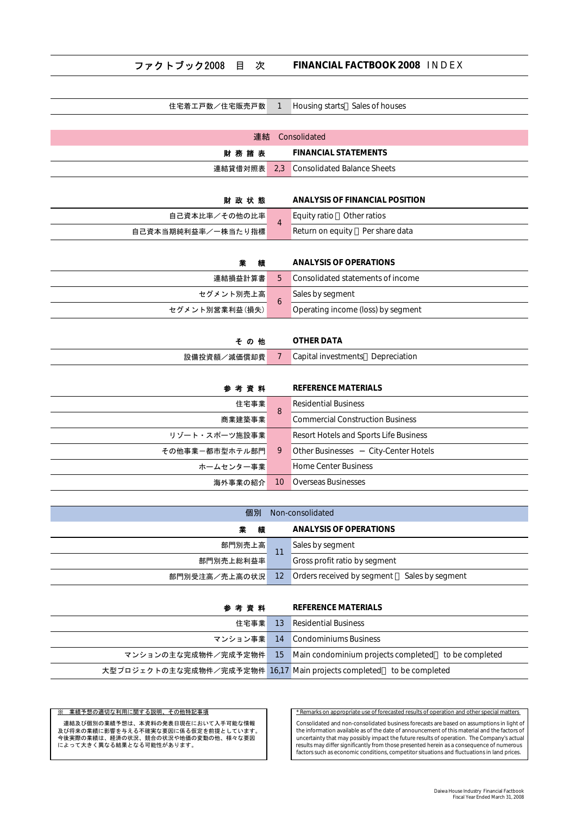### ファクトブック2008 目 次 FINANCIAL FACTBOOK 2008 IN DEX

| 住宅着工戸数/住宅販売戸数      | $\mathbf{1}$    | Housing starts Sales of houses                       |
|--------------------|-----------------|------------------------------------------------------|
|                    |                 |                                                      |
| 連結                 |                 | Consolidated                                         |
| 財務諸表               |                 | <b>FINANCIAL STATEMENTS</b>                          |
| 連結貸借対照表            | 2.3             | <b>Consolidated Balance Sheets</b>                   |
|                    |                 |                                                      |
| 財政状態               |                 | <b>ANALYSIS OF FINANCIAL POSITION</b>                |
| 自己資本比率/その他の比率      | $\overline{4}$  | Equity ratio<br>Other ratios                         |
| 自己資本当期純利益率/一株当たり指標 |                 | Return on equity<br>Per share data                   |
|                    |                 |                                                      |
| 縉                  |                 | <b>ANALYSIS OF OPERATIONS</b>                        |
| 連結損益計算書            | 5               | Consolidated statements of income                    |
| セグメント別売上高          | 6               | Sales by segment                                     |
| セグメント別営業利益(損失)     |                 | Operating income (loss) by segment                   |
|                    |                 |                                                      |
| その他                |                 | <b>OTHER DATA</b>                                    |
| 設備投資額/減価償却費        | 7               | Capital investments Depreciation                     |
|                    |                 |                                                      |
| 参考資料               |                 | <b>REFERENCE MATERIALS</b>                           |
| 住宅事業               | 8               | <b>Residential Business</b>                          |
| 商業建築事業             |                 | <b>Commercial Construction Business</b>              |
| リゾート・スポーツ施設事業      |                 | Resort Hotels and Sports Life Business               |
| その他事業ー都市型ホテル部門     | 9               | <b>Other Businesses</b><br><b>City-Center Hotels</b> |
| ホームセンター事業          |                 | <b>Home Center Business</b>                          |
| 海外事業の紹介            | 10 <sup>°</sup> | <b>Overseas Businesses</b>                           |
|                    |                 |                                                      |

| 個別<br>Non-consolidated |    |                                             |  |  |  |  |  |
|------------------------|----|---------------------------------------------|--|--|--|--|--|
| 精                      |    | ANALYSIS OF OPERATIONS                      |  |  |  |  |  |
| 部門別売上高                 | 11 | Sales by segment                            |  |  |  |  |  |
| 部門別売上総利益率              |    | Gross profit ratio by segment               |  |  |  |  |  |
| 部門別受注高/売上高の状況 12       |    | Orders received by segment Sales by segment |  |  |  |  |  |

### **参 考 資 料 REFERENCE MATERIALS**

| 住宅事業                                                                 | 13 Residential Business                                |
|----------------------------------------------------------------------|--------------------------------------------------------|
|                                                                      | マンション事業 14 Condominiums Business                       |
| マンションの主な完成物件/完成予定物件                                                  | 15 Main condominium projects completed to be completed |
| 大型プロジェクトの主な完成物件/完成予定物件 16,17 Main projects completed to be completed |                                                        |

<u>※ 業績予想の適切な利用に関する説明、その他特記事項</u><br>このsolidated and non-consolidated business forecasts are based on assumptions in light<br>スパッキ類に影響を与える不確実な要因に係る仮定を前提としています。<br>今後実際の業績は、経済の状況、競合の状況や地価の変動の他、様々な要因 the information available as of the Consolidated and non-consolidated business forecasts are based on assumptions in light of 及び将来の業績に影響を与える不確実な要因に係る仮定を前提としています。 the information available as of the date of announcement of this material and the factors of 今後実際の業績は、経済の状況、競合の状況や地価の変動の他、様々な要因 uncertainty that may possibly impact the future results of operation. The Company's actual<br>results may differ signal proposition that in the search that is major first in the su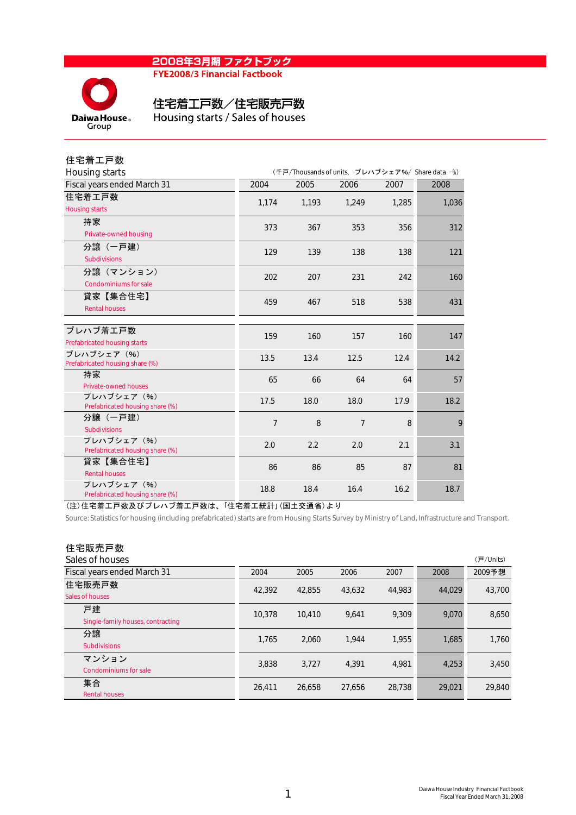### 2008年3月期 ファクトブック **FYE2008/3 Financial Factbook**



# 住宅着工戸数/住宅販売戸数

Housing starts / Sales of houses

| 住宅着工戸数                                         |                |                                                  |       |       |       |  |  |  |  |
|------------------------------------------------|----------------|--------------------------------------------------|-------|-------|-------|--|--|--|--|
| Housing starts                                 |                | (千戸/Thousands of units, プレハブシェア%/ Share data -%) |       |       |       |  |  |  |  |
| Fiscal years ended March 31                    | 2004           | 2005                                             | 2006  | 2007  | 2008  |  |  |  |  |
| 住宅着工戸数                                         | 1,174          | 1,193                                            | 1,249 | 1,285 | 1,036 |  |  |  |  |
| <b>Housing starts</b>                          |                |                                                  |       |       |       |  |  |  |  |
| 持家                                             | 373            | 367                                              | 353   | 356   | 312   |  |  |  |  |
| Private-owned housing                          |                |                                                  |       |       |       |  |  |  |  |
| 分讓(一戸建)                                        | 129            | 139                                              | 138   | 138   | 121   |  |  |  |  |
| <b>Subdivisions</b>                            |                |                                                  |       |       |       |  |  |  |  |
| 分譲(マンション)                                      | 202            | 207                                              | 231   | 242   | 160   |  |  |  |  |
| <b>Condominiums for sale</b>                   |                |                                                  |       |       |       |  |  |  |  |
| 貸家【集合住宅】                                       | 459            | 467                                              | 518   | 538   | 431   |  |  |  |  |
| <b>Rental houses</b>                           |                |                                                  |       |       |       |  |  |  |  |
|                                                |                |                                                  |       |       |       |  |  |  |  |
| プレハブ着エ戸数                                       | 159            | 160                                              | 157   | 160   | 147   |  |  |  |  |
| Prefabricated housing starts                   |                |                                                  |       |       |       |  |  |  |  |
| プレハブシェア (%)                                    | 13.5           | 13.4                                             | 12.5  | 12.4  | 14.2  |  |  |  |  |
| Prefabricated housing share (%)                |                |                                                  |       |       |       |  |  |  |  |
| 持家                                             | 65             | 66                                               | 64    | 64    | 57    |  |  |  |  |
| Private-owned houses                           |                |                                                  |       |       |       |  |  |  |  |
| プレハブシェア (%)<br>Prefabricated housing share (%) | 17.5           | 18.0                                             | 18.0  | 17.9  | 18.2  |  |  |  |  |
| 分譲(一戸建)                                        | $\overline{7}$ | 8                                                | 7     | 8     | 9     |  |  |  |  |
| <b>Subdivisions</b>                            |                |                                                  |       |       |       |  |  |  |  |
| プレハブシェア (%)                                    | 2.0            | 2.2                                              | 2.0   | 2.1   | 3.1   |  |  |  |  |
| Prefabricated housing share (%)                |                |                                                  |       |       |       |  |  |  |  |
| 貸家【集合住宅】                                       | 86             | 86                                               | 85    | 87    | 81    |  |  |  |  |
| <b>Rental houses</b>                           |                |                                                  |       |       |       |  |  |  |  |
| プレハブシェア (%)<br>Prefabricated housing share (%) | 18.8           | 18.4                                             | 16.4  | 16.2  | 18.7  |  |  |  |  |

(注)住宅着工戸数及びプレハブ着工戸数は、「住宅着工統計」(国土交通省)より

Source: Statistics for housing (including prefabricated) starts are from Housing Starts Survey by Ministry of Land, Infrastructure and Transport.

# 住宅販売戸数

| Sales of houses                         |        |        |        |        |        | (戸/Units) |
|-----------------------------------------|--------|--------|--------|--------|--------|-----------|
| Fiscal years ended March 31             | 2004   | 2005   | 2006   | 2007   | 2008   | 2009予想    |
| 住宅販売戸数<br>Sales of houses               | 42,392 | 42.855 | 43,632 | 44.983 | 44.029 | 43,700    |
| 戸建<br>Single-family houses, contracting | 10.378 | 10.410 | 9.641  | 9.309  | 9.070  | 8,650     |
| 分譲<br><b>Subdivisions</b>               | 1.765  | 2.060  | 1.944  | 1.955  | 1,685  | 1,760     |
| マンション<br><b>Condominiums for sale</b>   | 3,838  | 3,727  | 4.391  | 4,981  | 4,253  | 3,450     |
| 集合<br><b>Rental houses</b>              | 26.411 | 26.658 | 27,656 | 28.738 | 29,021 | 29,840    |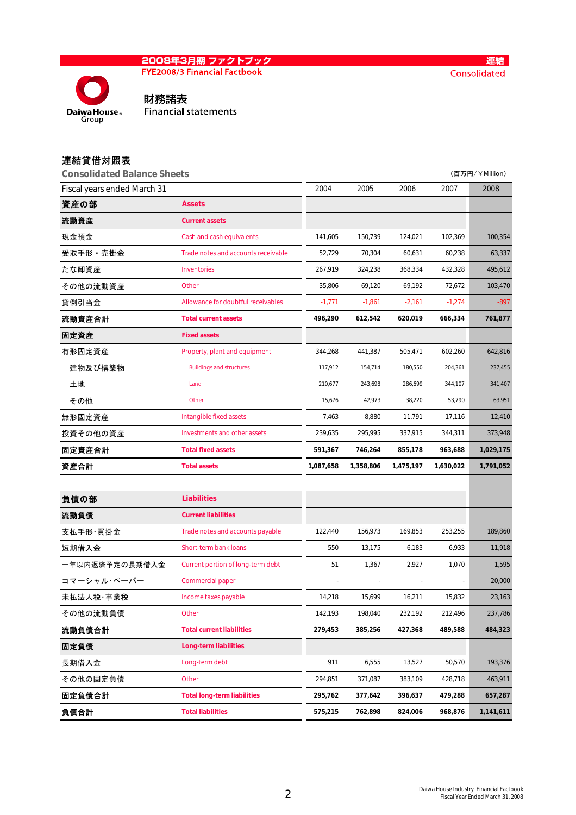# <mark>2008年3月期 ファクトブック</mark><br>FYE2008/3 Financial Factbook

E



財務諸表 **Financial statements** 

# 連結貸借対照表

**Daiwa House** 

| <b>Consolidated Balance Sheets</b> |                                     |           |           |           |           | (百万円/¥Million) |
|------------------------------------|-------------------------------------|-----------|-----------|-----------|-----------|----------------|
| Fiscal years ended March 31        |                                     | 2004      | 2005      | 2006      | 2007      | 2008           |
| 資産の部                               | <b>Assets</b>                       |           |           |           |           |                |
| 流動資産                               | <b>Current assets</b>               |           |           |           |           |                |
| 現金預金                               | Cash and cash equivalents           | 141,605   | 150,739   | 124,021   | 102,369   | 100,354        |
| 受取手形・売掛金                           | Trade notes and accounts receivable | 52,729    | 70,304    | 60,631    | 60,238    | 63,337         |
| たな卸資産                              | Inventories                         | 267,919   | 324,238   | 368,334   | 432,328   | 495,612        |
| その他の流動資産                           | Other                               | 35,806    | 69,120    | 69,192    | 72,672    | 103,470        |
| 貸倒引当金                              | Allowance for doubtful receivables  | $-1,771$  | $-1,861$  | $-2,161$  | $-1,274$  | $-897$         |
| 流動資産合計                             | <b>Total current assets</b>         | 496,290   | 612,542   | 620,019   | 666,334   | 761,877        |
| 固定資産                               | <b>Fixed assets</b>                 |           |           |           |           |                |
| 有形固定資産                             | Property, plant and equipment       | 344,268   | 441,387   | 505,471   | 602,260   | 642,816        |
| 建物及び構築物                            | <b>Buildings and structures</b>     | 117,912   | 154,714   | 180,550   | 204,361   | 237,455        |
| 土地                                 | Land                                | 210,677   | 243,698   | 286,699   | 344,107   | 341,407        |
| その他                                | Other                               | 15,676    | 42,973    | 38,220    | 53,790    | 63,951         |
| 無形固定資産                             | Intangible fixed assets             | 7,463     | 8,880     | 11,791    | 17,116    | 12,410         |
| 投資その他の資産                           | Investments and other assets        | 239,635   | 295,995   | 337,915   | 344,311   | 373,948        |
| 固定資産合計                             | <b>Total fixed assets</b>           | 591,367   | 746,264   | 855,178   | 963,688   | 1,029,175      |
| 資産合計                               | <b>Total assets</b>                 | 1,087,658 | 1,358,806 | 1,475,197 | 1,630,022 | 1,791,052      |
|                                    |                                     |           |           |           |           |                |
| 負債の部                               | <b>Liabilities</b>                  |           |           |           |           |                |
| 流動負債                               | <b>Current liabilities</b>          |           |           |           |           |                |
| 支払手形·買掛金                           | Trade notes and accounts payable    | 122,440   | 156,973   | 169,853   | 253,255   | 189,860        |
| 短期借入金                              | Short-term bank loans               | 550       | 13,175    | 6,183     | 6,933     | 11,918         |
| 一年以内返済予定の長期借入金                     | Current portion of long-term debt   | 51        | 1,367     | 2,927     | 1,070     | 1,595          |
| コマーシャル・ペーパー                        | <b>Commercial paper</b>             |           |           |           |           | 20,000         |
| 未払法人税·事業税                          | Income taxes payable                | 14,218    | 15,699    | 16,211    | 15,832    | 23,163         |
| その他の流動負債                           | Other                               | 142,193   | 198,040   | 232,192   | 212,496   | 237,786        |
| 流動負債合計                             | <b>Total current liabilities</b>    | 279,453   | 385,256   | 427,368   | 489,588   | 484,323        |
| 固定負債                               | <b>Long-term liabilities</b>        |           |           |           |           |                |
| 長期借入金                              | Long-term debt                      | 911       | 6,555     | 13,527    | 50,570    | 193,376        |
| その他の固定負債                           | Other                               | 294,851   | 371,087   | 383,109   | 428,718   | 463,911        |
|                                    |                                     |           |           |           |           |                |
| 固定負債合計                             | <b>Total long-term liabilities</b>  | 295,762   | 377,642   | 396,637   | 479,288   | 657,287        |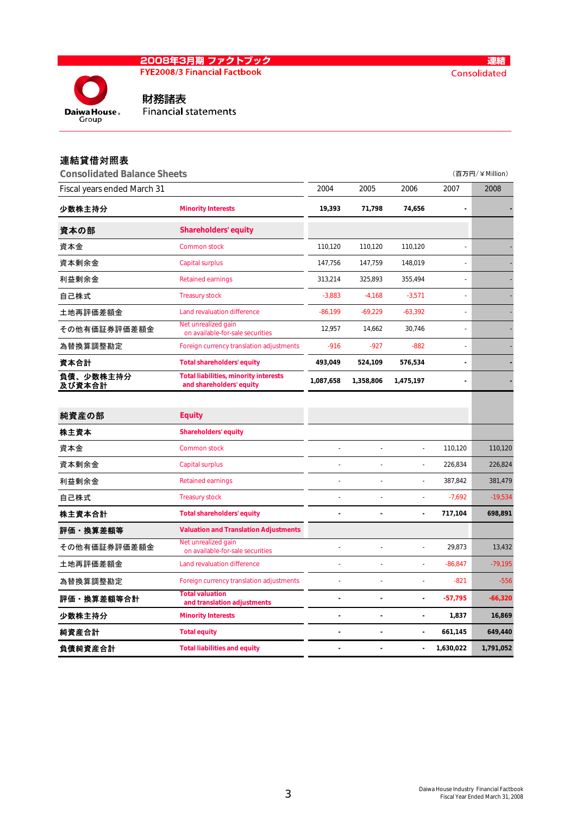

Daiwa House. Group

連結 Consolidated

財務諸表 **Financial statements** 

# 連結貸借対照表

| <b>Consolidated Balance Sheets</b> |                                                                          |           |                |                |            | (百万円/¥Million) |
|------------------------------------|--------------------------------------------------------------------------|-----------|----------------|----------------|------------|----------------|
| Fiscal years ended March 31        |                                                                          | 2004      | 2005           | 2006           | 2007       | 2008           |
| 少数株主持分                             | <b>Minority Interests</b>                                                | 19,393    | 71,798         | 74,656         |            |                |
| 資本の部                               | <b>Shareholders' equity</b>                                              |           |                |                |            |                |
| 資本金                                | <b>Common stock</b>                                                      | 110,120   | 110,120        | 110,120        |            |                |
| 資本剰余金                              | <b>Capital surplus</b>                                                   | 147,756   | 147,759        | 148,019        |            |                |
| 利益剰余金                              | <b>Retained earnings</b>                                                 | 313,214   | 325,893        | 355,494        |            |                |
| 自己株式                               | <b>Treasury stock</b>                                                    | $-3,883$  | $-4,168$       | $-3,571$       |            |                |
| 土地再評価差額金                           | Land revaluation difference                                              | $-86,199$ | $-69,229$      | $-63,392$      |            |                |
| その他有価証券評価差額金                       | Net unrealized gain<br>on available-for-sale securities                  | 12,957    | 14,662         | 30,746         |            |                |
| 為替換算調整勘定                           | Foreign currency translation adjustments                                 | $-916$    | $-927$         | $-882$         |            |                |
| 資本合計                               | <b>Total shareholders' equity</b>                                        | 493,049   | 524,109        | 576,534        |            |                |
| 負債、少数株主持分<br>及び資本合計                | <b>Total liabilities, minority interests</b><br>and shareholders' equity | 1,087,658 | 1,358,806      | 1,475,197      |            |                |
|                                    |                                                                          |           |                |                |            |                |
| 純資産の部                              | <b>Equity</b>                                                            |           |                |                |            |                |
| 株主資本                               | <b>Shareholders' equity</b>                                              |           |                |                |            |                |
| 資本金                                | <b>Common stock</b>                                                      |           | $\overline{a}$ | $\overline{a}$ | 110,120    | 110,120        |
| 資本剰余金                              | <b>Capital surplus</b>                                                   |           |                | L,             | 226,834    | 226,824        |
| 利益剰余金                              | <b>Retained earnings</b>                                                 |           |                | $\overline{a}$ | 387,842    | 381,479        |
| 自己株式                               | <b>Treasury stock</b>                                                    |           |                | ÷,             | $-7,692$   | $-19,534$      |
| 株主資本合計                             | <b>Total shareholders' equity</b>                                        |           | ÷.             | $\blacksquare$ | 717,104    | 698,891        |
| 評価・換算差額等                           | <b>Valuation and Translation Adjustments</b>                             |           |                |                |            |                |
| その他有価証券評価差額金                       | Net unrealized gain<br>on available-for-sale securities                  |           |                |                | 29,873     | 13,432         |
| 土地再評価差額金                           | Land revaluation difference                                              |           |                |                | $-86, 847$ | $-79,195$      |
| 為替換算調整勘定                           | Foreign currency translation adjustments                                 |           |                |                | $-821$     | $-556$         |
| 評価・換算差額等合計                         | <b>Total valuation</b><br>and translation adjustments                    |           | ä,             | $\blacksquare$ | $-57,795$  | $-66,320$      |
| 少数株主持分                             | <b>Minority Interests</b>                                                |           | ä,             | ä,             | 1,837      | 16,869         |
| 純資産合計                              | <b>Total equity</b>                                                      |           |                |                | 661,145    | 649,440        |
| 負債純資産合計                            | <b>Total liabilities and equity</b>                                      |           |                |                | 1,630,022  | 1,791,052      |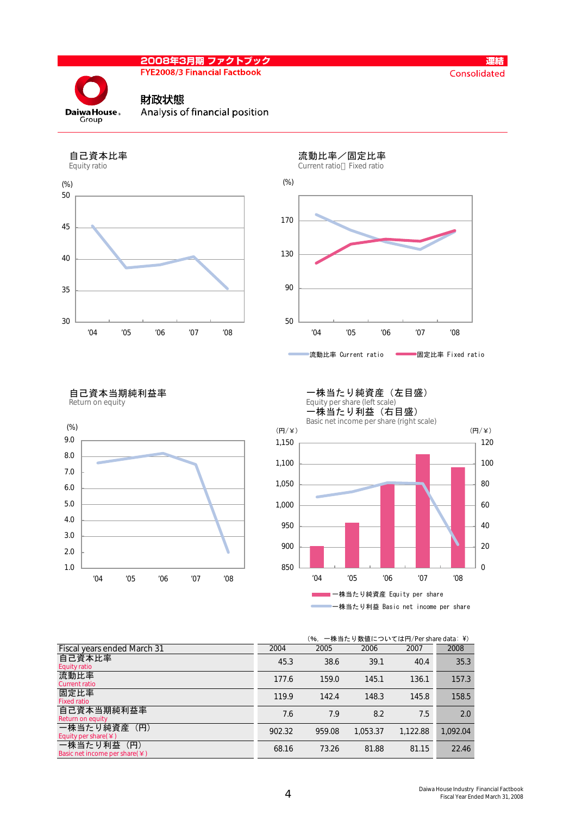**FYE2008/3 Financial Factbook** 



### 財政状態



Analysis of financial position



# 流動比率 Current ratio **- 国定比率 Fixed ratio**

自己資本当期純利益率<br>Return on equity





一株当たり純資産(左目盛)

#### (%, 一株当たり数値については円/Per share data: ¥)

| Fiscal years ended March 31                            | 2004   | 2005   | 2006     | 2007     | 2008     |
|--------------------------------------------------------|--------|--------|----------|----------|----------|
| 自己資本比率<br><b>Equity ratio</b>                          | 45.3   | 38.6   | 39.1     | 40.4     | 35.3     |
| 流動比率<br><b>Current ratio</b>                           | 177.6  | 159.0  | 145.1    | 136.1    | 157.3    |
| 固定比率<br><b>Fixed ratio</b>                             | 119.9  | 142.4  | 148.3    | 145.8    | 158.5    |
| 自己資本当期純利益率<br>Return on equity                         | 7.6    | 7.9    | 8.2      | 7.5      | 2.0      |
| 一株当たり純資産 (円)<br>Equity per share $(\yen)$              | 902.32 | 959.08 | 1,053.37 | 1,122.88 | 1,092.04 |
| (H)<br>一株当たり利益<br>Basic net income per share $(\nleq)$ | 68.16  | 73.26  | 81.88    | 81.15    | 22.46    |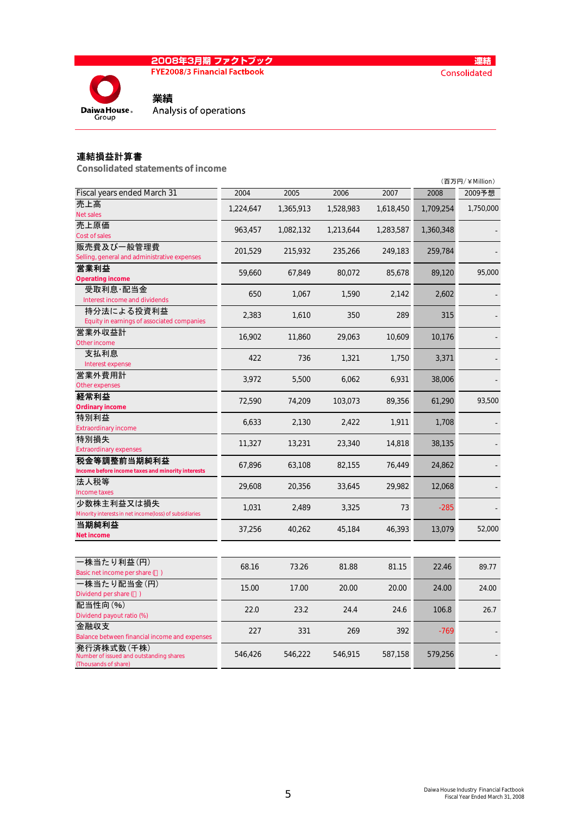

**FYE2008/3 Financial Factbook** 



Analysis of operations

### 連結損益計算書

発行済株式数(千株)

(Thousands of share)

Number of issued and outstanding shares

Consolidated statements of income

業績

|                                                        |           |           |           |           |           | (百万円/¥Million) |
|--------------------------------------------------------|-----------|-----------|-----------|-----------|-----------|----------------|
| Fiscal years ended March 31                            | 2004      | 2005      | 2006      | 2007      | 2008      | 2009予想         |
| 売上高                                                    | 1,224,647 | 1,365,913 | 1,528,983 | 1,618,450 | 1,709,254 | 1,750,000      |
| <b>Net sales</b>                                       |           |           |           |           |           |                |
| 売上原価                                                   | 963,457   | 1,082,132 | 1,213,644 | 1,283,587 | 1,360,348 |                |
| Cost of sales                                          |           |           |           |           |           |                |
| 販売費及び一般管理費                                             | 201,529   | 215,932   | 235,266   | 249,183   | 259,784   |                |
| Selling, general and administrative expenses           |           |           |           |           |           |                |
| 営業利益                                                   | 59,660    | 67,849    | 80,072    | 85,678    | 89,120    | 95,000         |
| <b>Operating income</b>                                |           |           |           |           |           |                |
| 受取利息·配当金<br>Interest income and dividends              | 650       | 1,067     | 1,590     | 2,142     | 2,602     |                |
| 持分法による投資利益                                             |           |           |           |           |           |                |
| Equity in earnings of associated companies             | 2,383     | 1,610     | 350       | 289       | 315       |                |
| 営業外収益計                                                 |           |           |           |           |           |                |
| Other income                                           | 16,902    | 11,860    | 29,063    | 10,609    | 10,176    |                |
| 支払利息                                                   |           |           |           |           |           |                |
| Interest expense                                       | 422       | 736       | 1,321     | 1,750     | 3,371     |                |
| 営業外費用計                                                 |           |           | 6,062     |           |           |                |
| Other expenses                                         | 3,972     | 5,500     |           | 6,931     | 38,006    |                |
| 経常利益                                                   | 72,590    | 74,209    | 103,073   | 89,356    | 61,290    | 93,500         |
| <b>Ordinary income</b>                                 |           |           |           |           |           |                |
| 特別利益                                                   | 6,633     | 2,130     | 2,422     | 1,911     | 1,708     |                |
| <b>Extraordinary income</b>                            |           |           |           |           |           |                |
| 特別損失                                                   | 11,327    | 13,231    | 23,340    | 14,818    | 38,135    |                |
| <b>Extraordinary expenses</b>                          |           |           |           |           |           |                |
| 税金等調整前当期純利益                                            | 67,896    | 63,108    | 82,155    | 76,449    | 24,862    |                |
| Income before income taxes and minority interests      |           |           |           |           |           |                |
| 法人税等<br>Income taxes                                   | 29,608    | 20,356    | 33,645    | 29,982    | 12,068    |                |
| 少数株主利益又は損失                                             |           |           |           |           |           |                |
| Minority interests in net income(loss) of subsidiaries | 1,031     | 2,489     | 3,325     | 73        | $-285$    |                |
| 当期純利益                                                  |           |           |           |           |           |                |
| <b>Net income</b>                                      | 37,256    | 40,262    | 45,184    | 46,393    | 13,079    | 52,000         |
|                                                        |           |           |           |           |           |                |
| 一株当たり利益(円)                                             |           |           |           |           |           |                |
| Basic net income per share ()                          | 68.16     | 73.26     | 81.88     | 81.15     | 22.46     | 89.77          |
| ・株当たり配当金(円)                                            |           |           |           |           |           |                |
| Dividend per share ()                                  | 15.00     | 17.00     | 20.00     | 20.00     | 24.00     | 24.00          |
| 配当性向(%)                                                |           |           |           |           |           |                |
| Dividend payout ratio (%)                              | 22.0      | 23.2      | 24.4      | 24.6      | 106.8     | 26.7           |
| 金融収支                                                   | 227       | 331       | 269       | 392       | $-769$    |                |
| Balance between financial income and expenses          |           |           |           |           |           |                |

546,915 587,158 579,256 -

546,426 546,222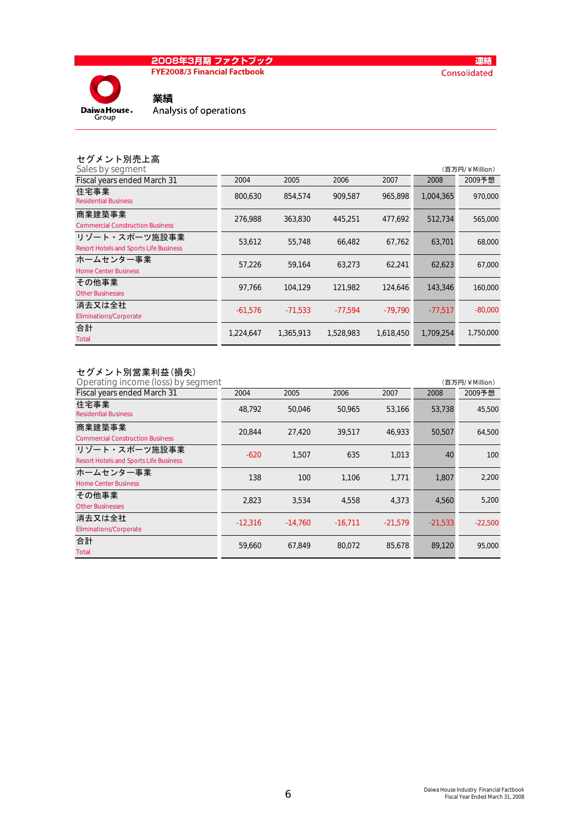# <mark>2008年3月期 ファクトブック</mark><br>FYE2008/3 Financial Factbook



業績 Analysis of operations

|  | セグメント別売上高       |  |
|--|-----------------|--|
|  | Color buscament |  |

| Sales by segment                                               |           |           |           |           |           | (百万円/¥Million) |
|----------------------------------------------------------------|-----------|-----------|-----------|-----------|-----------|----------------|
| Fiscal years ended March 31                                    | 2004      | 2005      | 2006      | 2007      | 2008      | 2009予想         |
| 住宅事業<br><b>Residential Business</b>                            | 800,630   | 854,574   | 909.587   | 965.898   | 1,004,365 | 970,000        |
| 商業建築事業<br><b>Commercial Construction Business</b>              | 276,988   | 363,830   | 445,251   | 477.692   | 512.734   | 565,000        |
| リゾート・スポーツ施設事業<br><b>Resort Hotels and Sports Life Business</b> | 53,612    | 55,748    | 66,482    | 67,762    | 63,701    | 68,000         |
| ホームセンター事業<br><b>Home Center Business</b>                       | 57.226    | 59.164    | 63.273    | 62.241    | 62.623    | 67,000         |
| その他事業<br><b>Other Businesses</b>                               | 97.766    | 104.129   | 121.982   | 124,646   | 143,346   | 160,000        |
| 消去又は全社<br><b>Eliminations/Corporate</b>                        | $-61,576$ | $-71,533$ | $-77,594$ | $-79.790$ | $-77.517$ | $-80,000$      |
| 合計<br>Total                                                    | 1,224,647 | 1,365,913 | 1,528,983 | 1,618,450 | 1,709,254 | 1,750,000      |

### セグメント別営業利益(損失)

| Operating income (loss) by segment                             |           |           |           |           |           | (百万円/¥Million) |
|----------------------------------------------------------------|-----------|-----------|-----------|-----------|-----------|----------------|
| Fiscal years ended March 31                                    | 2004      | 2005      | 2006      | 2007      | 2008      | 2009予想         |
| 住宅事業<br><b>Residential Business</b>                            | 48.792    | 50,046    | 50,965    | 53,166    | 53,738    | 45,500         |
| 商業建築事業<br><b>Commercial Construction Business</b>              | 20.844    | 27.420    | 39.517    | 46.933    | 50,507    | 64,500         |
| リゾート・スポーツ施設事業<br><b>Resort Hotels and Sports Life Business</b> | $-620$    | 1.507     | 635       | 1,013     | 40        | 100            |
| ホームセンター事業<br><b>Home Center Business</b>                       | 138       | 100       | 1.106     | 1,771     | 1,807     | 2,200          |
| その他事業<br><b>Other Businesses</b>                               | 2,823     | 3,534     | 4,558     | 4,373     | 4,560     | 5,200          |
| 消去又は全社<br><b>Eliminations/Corporate</b>                        | $-12.316$ | $-14.760$ | $-16,711$ | $-21,579$ | $-21,533$ | $-22,500$      |
| 合計<br>Total                                                    | 59,660    | 67,849    | 80,072    | 85.678    | 89.120    | 95,000         |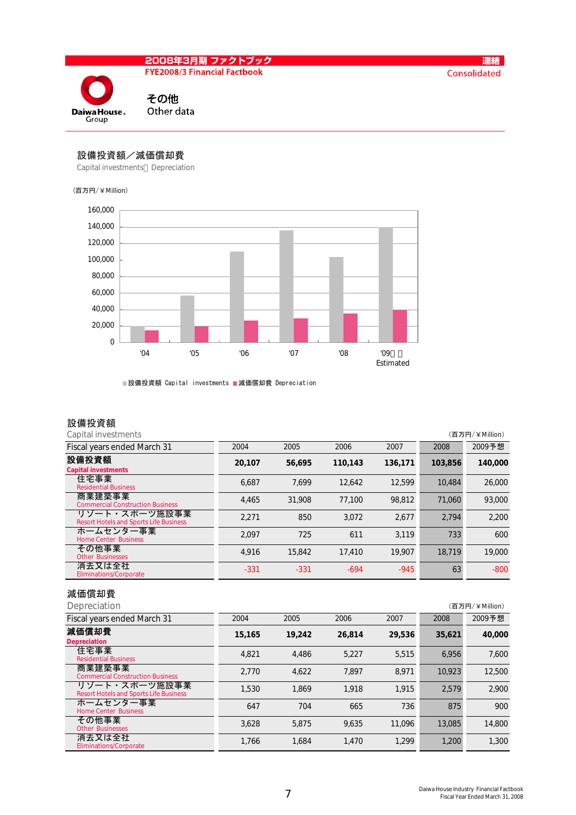

### 設備投資額/減価償却費

Capital investments Depreciation

### (百万円/¥Million)



■設備投資額 Capital investments ■減価償却費 Depreciation

# 設備投資額<br>Capital investments

| Capital investments                                            |        |        |         |         |         | (百万円/¥Million) |
|----------------------------------------------------------------|--------|--------|---------|---------|---------|----------------|
| Fiscal years ended March 31                                    | 2004   | 2005   | 2006    | 2007    | 2008    | 2009予想         |
| 設備投資額<br><b>Capital investments</b>                            | 20,107 | 56.695 | 110.143 | 136,171 | 103.856 | 140,000        |
| 住宅事業<br><b>Residential Business</b>                            | 6.687  | 7.699  | 12,642  | 12.599  | 10.484  | 26,000         |
| 商業建築事業<br><b>Commercial Construction Business</b>              | 4.465  | 31,908 | 77.100  | 98.812  | 71.060  | 93,000         |
| リゾート・スポーツ施設事業<br><b>Resort Hotels and Sports Life Business</b> | 2.271  | 850    | 3.072   | 2.677   | 2.794   | 2.200          |
| ホームセンター事業<br><b>Home Center Business</b>                       | 2.097  | 725    | 611     | 3.119   | 733     | 600            |
| その他事業<br><b>Other Businesses</b>                               | 4.916  | 15,842 | 17,410  | 19.907  | 18.719  | 19,000         |
| 消去又は全社<br><b>Eliminations/Corporate</b>                        | $-331$ | $-331$ | $-694$  | $-945$  | 63      | $-800$         |

### 減価償却費

| Depreciation                                                   |        |        |        |        |        | (百万円/¥Million) |
|----------------------------------------------------------------|--------|--------|--------|--------|--------|----------------|
| Fiscal years ended March 31                                    | 2004   | 2005   | 2006   | 2007   | 2008   | 2009予想         |
| 減価償却費<br><b>Depreciation</b>                                   | 15,165 | 19.242 | 26.814 | 29.536 | 35,621 | 40,000         |
| 住宅事業<br><b>Residential Business</b>                            | 4,821  | 4.486  | 5.227  | 5.515  | 6.956  | 7,600          |
| 商業建築事業<br><b>Commercial Construction Business</b>              | 2.770  | 4.622  | 7.897  | 8.971  | 10.923 | 12,500         |
| リゾート・スポーツ施設事業<br><b>Resort Hotels and Sports Life Business</b> | 1,530  | 1.869  | 1.918  | 1.915  | 2.579  | 2.900          |
| ホームセンター事業<br><b>Home Center Business</b>                       | 647    | 704    | 665    | 736    | 875    | 900            |
| その他事業<br><b>Other Businesses</b>                               | 3,628  | 5.875  | 9.635  | 11.096 | 13,085 | 14,800         |
| 消去又は全社<br><b>Eliminations/Corporate</b>                        | 1,766  | 1,684  | 1.470  | 1.299  | 1.200  | 1,300          |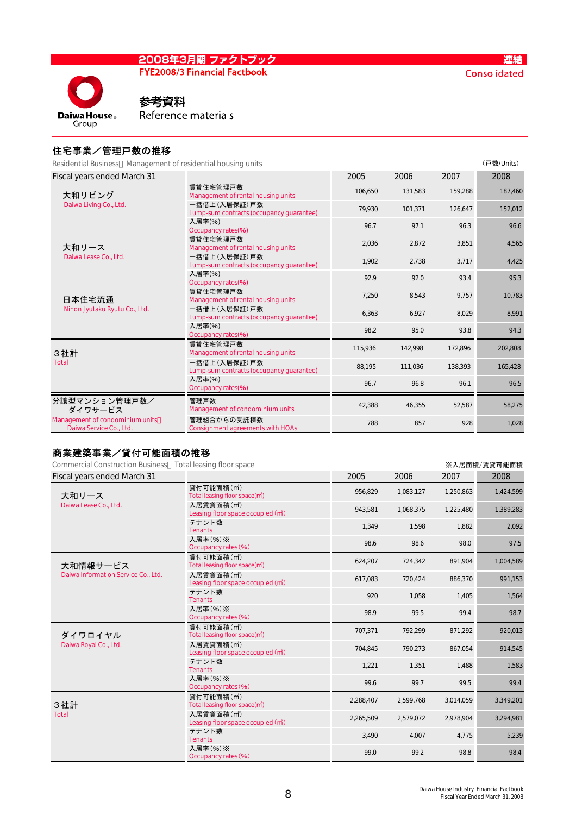### 2008年3月期 ファクトブック **FYE2008/3 Financial Factbook**

**Daiwa House Group** 

# 参考資料

Reference materials

### 住宅事業/管理戸数の推移

Residential Business Management of residential housing units (戸数/Units) Residential Business Management of residential housing units

| <u>Kesideritiai Dusiriess – iviariagerrierit or resideritiai riousirig uriits</u> |                                                            |         |         |         | \ <i>I</i> 30X/UIIIL3/ |
|-----------------------------------------------------------------------------------|------------------------------------------------------------|---------|---------|---------|------------------------|
| Fiscal years ended March 31                                                       |                                                            | 2005    | 2006    | 2007    | 2008                   |
| 大和リビング                                                                            | 賃貸住宅管理戸数<br>Management of rental housing units             | 106,650 | 131,583 | 159,288 | 187,460                |
| Daiwa Living Co., Ltd.                                                            | 一括借上 (入居保証) 戸数<br>Lump-sum contracts (occupancy guarantee) | 79,930  | 101,371 | 126,647 | 152,012                |
|                                                                                   | 入居率(%)<br>Occupancy rates(%)                               | 96.7    | 97.1    | 96.3    | 96.6                   |
| 大和リース                                                                             | 賃貸住宅管理戸数<br>Management of rental housing units             | 2.036   | 2.872   | 3.851   | 4,565                  |
| Daiwa Lease Co., Ltd.                                                             | 一括借上 (入居保証) 戸数<br>Lump-sum contracts (occupancy quarantee) | 1,902   | 2.738   | 3,717   | 4,425                  |
|                                                                                   | 入居率(%)<br>Occupancy rates(%)                               | 92.9    | 92.0    | 93.4    | 95.3                   |
| 日本住宅流通                                                                            | 賃貸住宅管理戸数<br>Management of rental housing units             | 7,250   | 8,543   | 9,757   | 10,783                 |
| Nihon Jyutaku Ryutu Co., Ltd.                                                     | 一括借上(入居保証)戸数<br>Lump-sum contracts (occupancy guarantee)   | 6,363   | 6,927   | 8,029   | 8,991                  |
|                                                                                   | 入居率(%)<br>Occupancy rates(%)                               | 98.2    | 95.0    | 93.8    | 94.3                   |
| 3社計                                                                               | 賃貸住宅管理戸数<br>Management of rental housing units             | 115,936 | 142,998 | 172.896 | 202,808                |
| <b>Total</b>                                                                      | 一括借上(入居保証)戸数<br>Lump-sum contracts (occupancy quarantee)   | 88,195  | 111,036 | 138,393 | 165,428                |
|                                                                                   | 入居率(%)<br>Occupancy rates(%)                               | 96.7    | 96.8    | 96.1    | 96.5                   |
| 分譲型マンション管理戸数/<br>ダイワサードス                                                          | 管理戸数<br>Management of condominium units                    | 42,388  | 46,355  | 52,587  | 58,275                 |
| Management of condominium units<br>Daiwa Service Co., Ltd.                        | 管理組合からの受託棟数<br><b>Consignment agreements with HOAs</b>     | 788     | 857     | 928     | 1,028                  |
|                                                                                   |                                                            |         |         |         |                        |

# 商業建築事業/貸付可能面積の推移

| <b>Commercial Construction Business</b> | Total leasing floor space                                                 |           |           |           | ※入居面積/賃貸可能面積 |
|-----------------------------------------|---------------------------------------------------------------------------|-----------|-----------|-----------|--------------|
| Fiscal years ended March 31             |                                                                           | 2005      | 2006      | 2007      | 2008         |
| 大和リース                                   | 貸付可能面積(m <sup>2</sup> )<br>Total leasing floor space(m <sup>2</sup> )     | 956,829   | 1,083,127 | 1,250,863 | 1,424,599    |
| Daiwa Lease Co., Ltd.                   | 入居賃貸面積(m <sup>2</sup> )<br>Leasing floor space occupied (m <sup>2</sup> ) | 943,581   | 1,068,375 | 1,225,480 | 1,389,283    |
|                                         | テナント数<br><b>Tenants</b>                                                   | 1,349     | 1,598     | 1,882     | 2,092        |
|                                         | 入居率 (%) ※<br>Occupancy rates (%)                                          | 98.6      | 98.6      | 98.0      | 97.5         |
| 大和情報サービス                                | 貸付可能面積(m2)<br>Total leasing floor space(m <sup>2</sup> )                  | 624,207   | 724,342   | 891,904   | 1,004,589    |
| Daiwa Information Service Co., Ltd.     | 入居賃貸面積(m <sup>2</sup> )<br>Leasing floor space occupied (m <sup>2</sup> ) | 617,083   | 720,424   | 886,370   | 991,153      |
|                                         | テナント数<br><b>Tenants</b>                                                   | 920       | 1,058     | 1,405     | 1,564        |
|                                         | 入居率 (%) ※<br>Occupancy rates (%)                                          | 98.9      | 99.5      | 99.4      | 98.7         |
| ダイワロイヤル                                 | 貸付可能面積(m <sup>2</sup> )<br>Total leasing floor space(m <sup>2</sup> )     | 707,371   | 792,299   | 871,292   | 920,013      |
| Daiwa Royal Co., Ltd.                   | 入居賃貸面積(m <sup>2</sup> )<br>Leasing floor space occupied (m <sup>2</sup> ) | 704,845   | 790,273   | 867,054   | 914,545      |
|                                         | テナント数<br><b>Tenants</b>                                                   | 1,221     | 1,351     | 1,488     | 1,583        |
|                                         | 入居率 (%) ※<br>Occupancy rates (%)                                          | 99.6      | 99.7      | 99.5      | 99.4         |
| 3社計                                     | 貸付可能面積(m2)<br>Total leasing floor space(m <sup>2</sup> )                  | 2,288,407 | 2,599,768 | 3,014,059 | 3,349,201    |
| <b>Total</b>                            | 入居賃貸面積(m <sup>2</sup> )<br>Leasing floor space occupied (m <sup>2</sup> ) | 2,265,509 | 2,579,072 | 2,978,904 | 3,294,981    |
|                                         | テナント数<br><b>Tenants</b>                                                   | 3,490     | 4,007     | 4,775     | 5,239        |
|                                         | 入居率 (%) ※<br>Occupancy rates (%)                                          | 99.0      | 99.2      | 98.8      | 98.4         |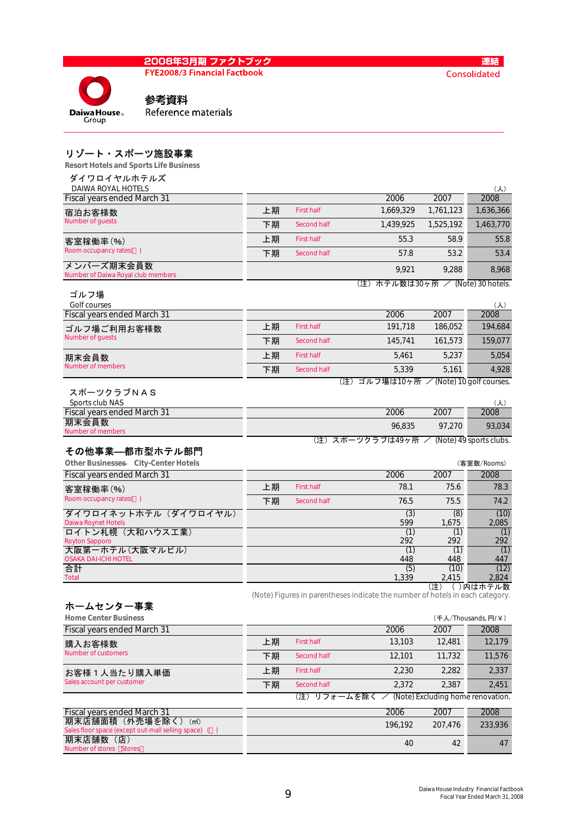**FYE2008/3 Financial Factbook** 



連結 Consolidated

参考資料 Reference materials

### リゾート・スポーツ施設事業

Resort Hotels and Sports Life Business

| ダイワロイヤルホテルズ                                       |    |                   |                                                                               |               |                         |
|---------------------------------------------------|----|-------------------|-------------------------------------------------------------------------------|---------------|-------------------------|
| DAIWA ROYAL HOTELS<br>Fiscal years ended March 31 |    |                   | 2006                                                                          | 2007          | $(\lambda)$<br>2008     |
| 宿泊お客様数                                            | 上期 | <b>First half</b> | 1,669,329                                                                     | 1,761,123     | 1,636,366               |
| Number of quests                                  | 下期 | Second half       | 1,439,925                                                                     | 1,525,192     | 1,463,770               |
| 客室稼働率(%)                                          | 上期 | <b>First half</b> | 55.3                                                                          | 58.9          | 55.8                    |
| Room occupancy rates()                            | 下期 | Second half       | 57.8                                                                          | 53.2          | 53.4                    |
| メンバーズ期末会員数<br>Number of Daiwa Royal club members  |    |                   | 9,921                                                                         | 9.288         | 8,968                   |
| ゴルフ場                                              |    |                   | (注) ホテル数は30ヶ所 / (Note) 30 hotels.                                             |               |                         |
| Golf courses                                      |    |                   |                                                                               |               | $(\lambda)$             |
| Fiscal years ended March 31                       |    |                   | 2006                                                                          | 2007          | 2008                    |
| ゴルフ場ご利用お客様数                                       | 上期 | <b>First half</b> | 191,718                                                                       | 186,052       | 194,684                 |
| Number of guests                                  | 下期 | Second half       | 145,741                                                                       | 161,573       | 159,077                 |
| 期末会員数                                             | 上期 | <b>First half</b> | 5,461                                                                         | 5,237         | 5,054                   |
| <b>Number of members</b>                          | 下期 | Second half       | 5,339                                                                         | 5,161         | 4,928                   |
|                                                   |    |                   | (注) ゴルフ場は10ヶ所 / (Note) 10 golf courses.                                       |               |                         |
| スポーツクラブNAS<br>Sports club NAS                     |    |                   |                                                                               |               | (人)                     |
| Fiscal years ended March 31                       |    |                   | 2006                                                                          | 2007          | 2008                    |
| 期末会員数<br>Number of members                        |    |                   | 96,835                                                                        | 97,270        | 93,034                  |
|                                                   |    |                   |                                                                               |               |                         |
|                                                   |    |                   | (注)スポーツクラブは49ヶ所 /                                                             |               | (Note) 49 sports clubs. |
| その他事業—都市型ホテル部門                                    |    |                   |                                                                               |               |                         |
| Other Businesses City-Center Hotels               |    |                   |                                                                               |               | (客室数/Rooms)             |
| Fiscal years ended March 31                       |    |                   | 2006                                                                          | 2007          | 2008                    |
| 客室稼働率(%)                                          | 上期 | <b>First half</b> | 78.1                                                                          | 75.6          | 78.3                    |
| Room occupancy rates()                            | 下期 | Second half       | 76.5                                                                          | 75.5          | 74.2                    |
| ダイワロイネットホテル(ダイワロイヤル)                              |    |                   | (3)                                                                           | (8)           | (10)                    |
| Daiwa Roynet Hotels<br>ロイトン札幌 (大和ハウス工業)           |    |                   | 599<br>(1)                                                                    | 1,675<br>(1)  | 2,085<br>(1)            |
| <b>Royton Sapporo</b>                             |    |                   | 292                                                                           | 292           | 292                     |
| 大阪第一ホテル(大阪マルビル)<br><b>OSAKA DAI-ICHI HOTEL</b>    |    |                   | (1)<br>448                                                                    | (1)<br>448    | (1)<br>447              |
| 合計<br><b>Total</b>                                |    |                   | (5)<br>1,339                                                                  | (10)<br>2.415 | (12)<br>2.824           |
|                                                   |    |                   |                                                                               | (注)           | ()内はホテル数                |
|                                                   |    |                   | (Note) Figures in parentheses indicate the number of hotels in each category. |               |                         |
| ホームセンター事業<br><b>Home Center Business</b>          |    |                   |                                                                               |               | (千人/Thousands, 円/¥)     |
| Fiscal years ended March 31                       |    |                   | 2006                                                                          | 2007          | 2008                    |
| 購入お客様数                                            | 上期 | <b>First half</b> | 13,103                                                                        | 12,481        | 12,179                  |
| Number of customers                               | 下期 | Second half       | 12,101                                                                        | 11,732        | 11,576                  |
| お客様1人当たり購入単価<br>Sales account per customer        | 上期 | <b>First half</b> | 2,230                                                                         | 2,282         | 2,337                   |

Fiscal years ended March 31 **2008** 2007 2008 2007 2008 2007 2008 期末店舗面積(外売場を除く)(㎡) ce (except out-mall selling space) ( 期末店舗数(店) Number of s 40 196,192 207,476 233,936 42 47

| 448.     | 447  |
|----------|------|
| (10)     | (12) |
| 2<br>415 | 2824 |

(注) リフォームを除く / (Note) Excluding home renovation.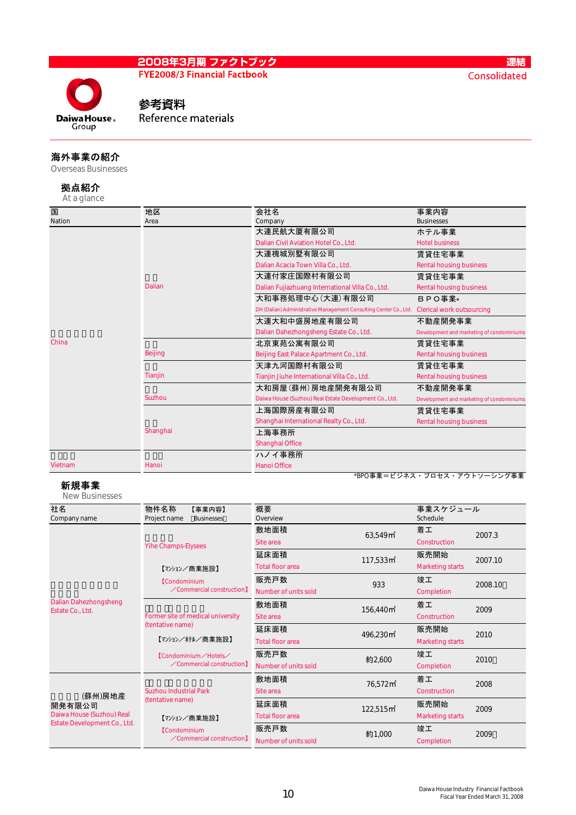

### 連結 Consolidated

# 参考資料

Reference materials

### 海外事業の紹介

Overseas Businesses

#### 拠点紹介 At a glance

| 国       | 地区             | 会社名                                                               | 事業内容                                      |
|---------|----------------|-------------------------------------------------------------------|-------------------------------------------|
| Nation  | Area           | Company                                                           | <b>Businesses</b>                         |
|         |                | 大連民航大厦有限公司                                                        | ホテル事業                                     |
|         |                | Dalian Civil Aviation Hotel Co., Ltd.                             | <b>Hotel business</b>                     |
|         |                | 大連槐城別墅有限公司                                                        | 賃貸住宅事業                                    |
|         |                | Dalian Acacia Town Villa Co., Ltd.                                | <b>Rental housing business</b>            |
|         |                | 大連付家庄国際村有限公司                                                      | 賃貸住宅事業                                    |
|         | Dalian         | Dalian Fujiazhuang International Villa Co., Ltd.                  | <b>Rental housing business</b>            |
|         |                | 大和事務処理中心 (大連) 有限公司                                                | BPO事業*                                    |
|         |                | DH (Dalian) Administrative Management Consulting Center Co., Ltd. | <b>Clerical work outsourcing</b>          |
|         |                | 大連大和中盛房地産有限公司                                                     | 不動産開発事業                                   |
|         |                | Dalian Dahezhongsheng Estate Co., Ltd.                            | Development and marketing of condominiums |
| China   |                | 北京東苑公寓有限公司                                                        | 賃貸住宅事業                                    |
|         | <b>Beijing</b> | Beijing East Palace Apartment Co., Ltd.                           | <b>Rental housing business</b>            |
|         |                | 天津九河国際村有限公司                                                       | 賃貸住宅事業                                    |
|         | Tianjin        | Tianjin Jiuhe International Villa Co., Ltd.                       | <b>Rental housing business</b>            |
|         |                | 大和房屋(蘇州)房地産開発有限公司                                                 | 不動産開発事業                                   |
|         | Suzhou         | Daiwa House (Suzhou) Real Estate Development Co., Ltd.            | Development and marketing of condominiums |
|         |                | 上海国際房産有限公司                                                        | 賃貸住宅事業                                    |
|         |                | Shanghai International Realty Co., Ltd.                           | <b>Rental housing business</b>            |
|         | Shanghai       | 上海事務所                                                             |                                           |
|         |                | Shanghai Office                                                   |                                           |
|         |                | ハノイ事務所                                                            |                                           |
| Vietnam | Hanoi          | <b>Hanoi Office</b>                                               |                                           |
|         |                |                                                                   | *BPO事業=ビジネス・プロセス・アウトソーシング事業               |

### 新規事業

New Businesses

| 社名                           | 物件名称<br>【事業内容】                                                                                      | 概要                      |                                  | 事業スケジュール                |         |  |
|------------------------------|-----------------------------------------------------------------------------------------------------|-------------------------|----------------------------------|-------------------------|---------|--|
| Company name                 | Project name<br><b>Businesses</b>                                                                   | Overview                |                                  | Schedule                |         |  |
|                              |                                                                                                     | 敷地面積                    | 63,549 <sup> m<sup>2</sup></sup> | 着工                      | 2007.3  |  |
|                              | <b>Yihe Champs-Elysees</b>                                                                          | Site area               |                                  | Construction            |         |  |
|                              |                                                                                                     | 延床面積                    | $117,533 \,\text{m}^2$           | 販売開始                    | 2007.10 |  |
|                              | 【マンション/商業施設】                                                                                        | <b>Total floor area</b> |                                  | <b>Marketing starts</b> |         |  |
|                              | <b>[Condominium</b>                                                                                 | 販売戸数                    | 933                              | 竣工                      | 2008.10 |  |
|                              | $\angle$ Commercial construction]                                                                   | Number of units sold    |                                  | Completion              |         |  |
| Dalian Dahezhongsheng        | Former site of medical university<br>(tentative name)<br>【マンション/ホテル/商業施設】<br>【Condominium / Hotels/ | 敷地面積                    | 156,440 m                        | 着工                      | 2009    |  |
| Estate Co., Ltd.             |                                                                                                     | Site area               |                                  | Construction            |         |  |
|                              |                                                                                                     | 延床面積                    | 496,230 m <sup>2</sup>           | 販売開始                    | 2010    |  |
|                              |                                                                                                     | <b>Total floor area</b> |                                  | <b>Marketing starts</b> |         |  |
|                              |                                                                                                     | 販売戸数                    | 約2,600                           | 竣工                      | 2010    |  |
|                              | $\angle$ Commercial construction]                                                                   | Number of units sold    |                                  | Completion              |         |  |
|                              |                                                                                                     | 敷地面積                    | 76,572m <sup>2</sup>             | 着工                      | 2008    |  |
| (蘇州)房地産                      | <b>Suzhou Industrial Park</b>                                                                       | Site area               |                                  | Construction            |         |  |
| 開発有限公司                       | (tentative name)                                                                                    | 延床面積                    | 122,515 m <sup>2</sup>           | 販売開始                    | 2009    |  |
| Daiwa House (Suzhou) Real    | 【マンション/商業施設】                                                                                        | <b>Total floor area</b> |                                  | <b>Marketing starts</b> |         |  |
| Estate Development Co., Ltd. | <b>[Condominium</b>                                                                                 | 販売戸数                    | 約1,000                           | 竣工                      | 2009    |  |
|                              | $\angle$ Commercial construction]                                                                   | Number of units sold    |                                  | Completion              |         |  |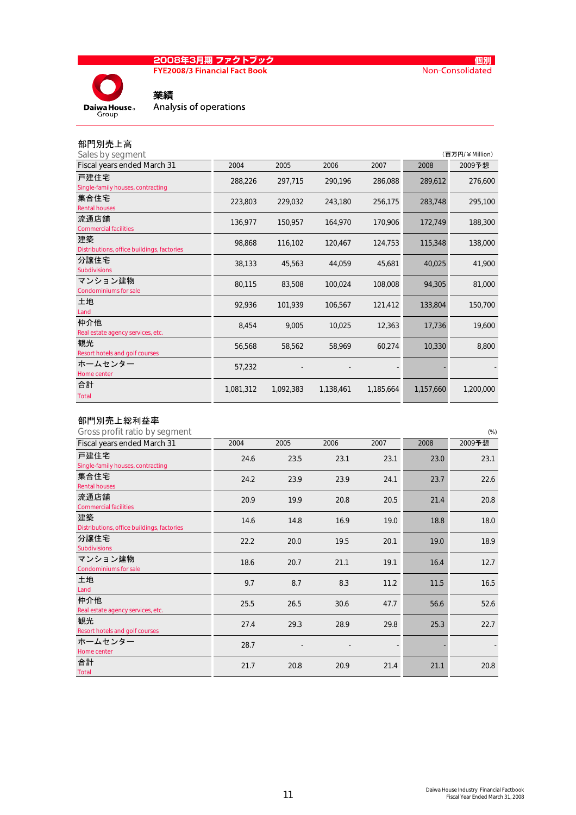# <mark>2008年3月期 ファクトブック</mark><br>FYE2008/3 Financial Fact Book





業績 Analysis of operations

# 部門別売上高

| Sales by segment                                 |           |           |           |           |           | (百万円/¥Million) |
|--------------------------------------------------|-----------|-----------|-----------|-----------|-----------|----------------|
| Fiscal years ended March 31                      | 2004      | 2005      | 2006      | 2007      | 2008      | 2009予想         |
| 戸建住宅<br>Single-family houses, contracting        | 288,226   | 297,715   | 290,196   | 286,088   | 289,612   | 276,600        |
| 集合住宅<br><b>Rental houses</b>                     | 223,803   | 229,032   | 243,180   | 256,175   | 283,748   | 295,100        |
| 流通店舗<br><b>Commercial facilities</b>             | 136,977   | 150,957   | 164,970   | 170,906   | 172,749   | 188,300        |
| 建築<br>Distributions, office buildings, factories | 98,868    | 116,102   | 120,467   | 124,753   | 115,348   | 138,000        |
| 分譲住宅<br><b>Subdivisions</b>                      | 38,133    | 45,563    | 44,059    | 45,681    | 40,025    | 41,900         |
| マンション建物<br><b>Condominiums for sale</b>          | 80,115    | 83,508    | 100,024   | 108,008   | 94,305    | 81,000         |
| 土地<br>Land                                       | 92,936    | 101,939   | 106,567   | 121,412   | 133,804   | 150,700        |
| 仲介他<br>Real estate agency services, etc.         | 8,454     | 9,005     | 10,025    | 12,363    | 17,736    | 19,600         |
| 観光<br>Resort hotels and golf courses             | 56,568    | 58,562    | 58,969    | 60,274    | 10,330    | 8,800          |
| ホームセンター<br>Home center                           | 57,232    |           |           |           |           |                |
| 合計<br><b>Total</b>                               | 1,081,312 | 1,092,383 | 1,138,461 | 1,185,664 | 1,157,660 | 1,200,000      |

### 部門別売上総利益率

| Gross profit ratio by segment              |      |      |      |      |      | $(\%)$ |
|--------------------------------------------|------|------|------|------|------|--------|
| Fiscal years ended March 31                | 2004 | 2005 | 2006 | 2007 | 2008 | 2009予想 |
| 戸建住宅                                       | 24.6 | 23.5 | 23.1 | 23.1 | 23.0 | 23.1   |
| Single-family houses, contracting          |      |      |      |      |      |        |
| 集合住宅<br><b>Rental houses</b>               | 24.2 | 23.9 | 23.9 | 24.1 | 23.7 | 22.6   |
|                                            |      |      |      |      |      |        |
| 流通店舗                                       | 20.9 | 19.9 | 20.8 | 20.5 | 21.4 | 20.8   |
| <b>Commercial facilities</b>               |      |      |      |      |      |        |
| 建築                                         | 14.6 | 14.8 | 16.9 | 19.0 | 18.8 | 18.0   |
| Distributions, office buildings, factories |      |      |      |      |      |        |
| 分譲住宅                                       | 22.2 | 20.0 | 19.5 | 20.1 | 19.0 | 18.9   |
| <b>Subdivisions</b>                        |      |      |      |      |      |        |
| マンション建物                                    | 18.6 | 20.7 | 21.1 | 19.1 | 16.4 | 12.7   |
| <b>Condominiums for sale</b>               |      |      |      |      |      |        |
| 土地                                         | 9.7  | 8.7  | 8.3  | 11.2 | 11.5 | 16.5   |
| Land                                       |      |      |      |      |      |        |
| 仲介他                                        | 25.5 | 26.5 | 30.6 | 47.7 | 56.6 | 52.6   |
| Real estate agency services, etc.          |      |      |      |      |      |        |
| 観光                                         | 27.4 | 29.3 | 28.9 | 29.8 | 25.3 | 22.7   |
| Resort hotels and golf courses             |      |      |      |      |      |        |
| ホームセンター                                    | 28.7 |      |      |      |      |        |
| Home center                                |      |      |      |      |      |        |
| 合計                                         | 21.7 | 20.8 | 20.9 | 21.4 | 21.1 | 20.8   |
| <b>Total</b>                               |      |      |      |      |      |        |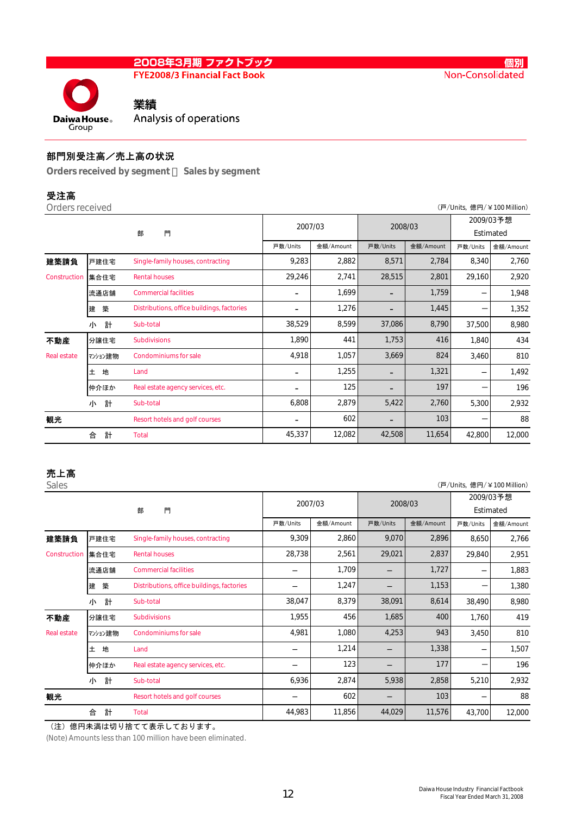**FYE2008/3 Financial Fact Book** 

業績

Daiwa House<sub>®</sub> Group

# Analysis of operations

### 部門別受注高/売上高の状況

Orders received by segment Sales by segment

| ш<br>m.<br>ı |  |  |  |
|--------------|--|--|--|
|--------------|--|--|--|

| Orders received    |         |                                            |                          |           |          |           | (戸/Units, 億円/¥100 Million) |                        |  |
|--------------------|---------|--------------------------------------------|--------------------------|-----------|----------|-----------|----------------------------|------------------------|--|
|                    | 門<br>部  |                                            |                          | 2007/03   |          | 2008/03   |                            | 2009/03予想<br>Estimated |  |
|                    |         |                                            | 戸数/Units                 | 金額/Amount | 戸数/Units | 金額/Amount | 戸数/Units                   | 金額/Amount              |  |
| 建築請負               | 戸建住宅    | Single-family houses, contracting          | 9,283                    | 2,882     | 8,571    | 2,784     | 8,340                      | 2,760                  |  |
| Construction       | 集合住宅    | <b>Rental houses</b>                       | 29,246                   | 2,741     | 28,515   | 2,801     | 29,160                     | 2,920                  |  |
|                    | 流通店舗    | <b>Commercial facilities</b>               | -                        | 1,699     | -        | 1,759     |                            | 1,948                  |  |
|                    | 築<br>建  | Distributions, office buildings, factories |                          | 1,276     |          | 1,445     |                            | 1,352                  |  |
|                    | 計<br>小  | Sub-total                                  | 38,529                   | 8,599     | 37,086   | 8,790     | 37,500                     | 8,980                  |  |
| 不動産                | 分譲住宅    | <b>Subdivisions</b>                        | 1,890                    | 441       | 1,753    | 416       | 1,840                      | 434                    |  |
| <b>Real estate</b> | マンション建物 | <b>Condominiums for sale</b>               | 4,918                    | 1,057     | 3,669    | 824       | 3,460                      | 810                    |  |
|                    | Ŧ.<br>地 | Land                                       | -                        | 1,255     | -        | 1,321     |                            | 1,492                  |  |
|                    | 仲介ほか    | Real estate agency services, etc.          | $\overline{\phantom{0}}$ | 125       | -        | 197       |                            | 196                    |  |
|                    | 計<br>小  | Sub-total                                  | 6,808                    | 2,879     | 5,422    | 2,760     | 5,300                      | 2,932                  |  |
| 観光                 |         | Resort hotels and golf courses             | $\overline{\phantom{a}}$ | 602       | -        | 103       |                            | 88                     |  |
|                    | 計<br>合  | <b>Total</b>                               | 45,337                   | 12,082    | 42,508   | 11,654    | 42,800                     | 12,000                 |  |

# 売上高

| Sales              |         |                                            |        |           |          |           | (戸/Units, 億円/¥100 Million) |           |  |
|--------------------|---------|--------------------------------------------|--------|-----------|----------|-----------|----------------------------|-----------|--|
|                    |         |                                            |        | 2007/03   |          | 2008/03   |                            | 2009/03予想 |  |
|                    |         | 門<br>部                                     |        |           |          |           | Estimated                  |           |  |
|                    |         |                                            |        | 金額/Amount | 戸数/Units | 金額/Amount | 戸数/Units                   | 金額/Amount |  |
| 建築請負               | 戸建住宅    | Single-family houses, contracting          | 9,309  | 2,860     | 9,070    | 2,896     | 8,650                      | 2,766     |  |
| Construction       | 集合住宅    | <b>Rental houses</b>                       | 28,738 | 2,561     | 29,021   | 2,837     | 29,840                     | 2,951     |  |
|                    | 流通店舗    | <b>Commercial facilities</b>               |        | 1,709     |          | 1,727     |                            | 1,883     |  |
|                    | 築<br>建  | Distributions, office buildings, factories |        | 1,247     |          | 1,153     |                            | 1,380     |  |
|                    | 計<br>小  | Sub-total                                  | 38,047 | 8,379     | 38,091   | 8,614     | 38,490                     | 8,980     |  |
| 不動産                | 分譲住宅    | <b>Subdivisions</b>                        | 1,955  | 456       | 1,685    | 400       | 1,760                      | 419       |  |
| <b>Real estate</b> | マンション建物 | <b>Condominiums for sale</b>               | 4,981  | 1,080     | 4,253    | 943       | 3,450                      | 810       |  |
|                    | 地<br>土  | Land                                       |        | 1,214     |          | 1,338     |                            | 1,507     |  |
|                    | 仲介ほか    | Real estate agency services, etc.          |        | 123       |          | 177       |                            | 196       |  |
|                    | 計<br>小  | Sub-total                                  | 6,936  | 2,874     | 5,938    | 2,858     | 5,210                      | 2,932     |  |
| 観光                 |         | Resort hotels and golf courses             |        | 602       |          | 103       |                            | 88        |  |
|                    | 計<br>合  | <b>Total</b>                               | 44,983 | 11,856    | 44,029   | 11,576    | 43,700                     | 12,000    |  |

(注)億円未満は切り捨てて表示しております。

(Note) Amounts less than 100 million have been eliminated.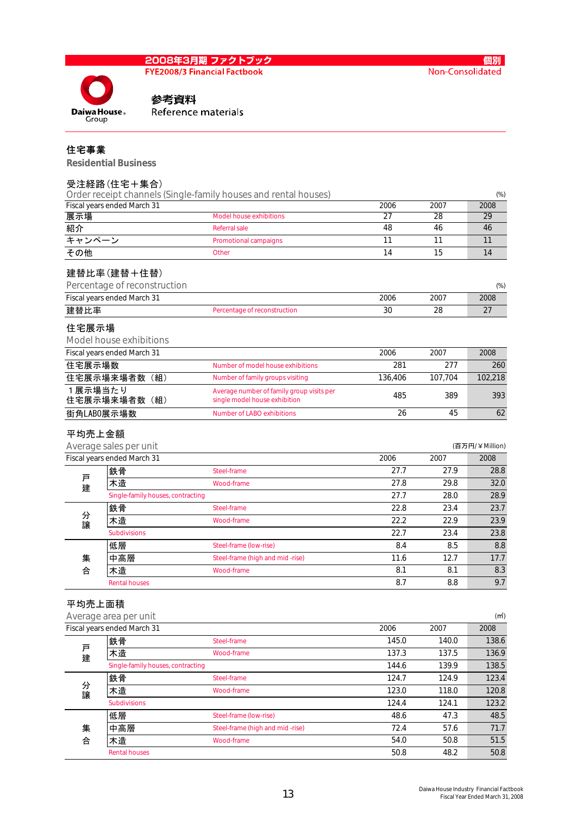### 2008年3月期 ファクトブック **FYE2008/3 Financial Factbook**

Daiwa House<sub>®</sub>

Group

個別 Non-Consolidated

### 参考資料 Reference materials

### 住宅事業

Residential Business

### 受注経路(住宅+集合)

|         |                                   | Order receipt channels (Single-family houses and rental houses)            |         |         | $(\%)$         |
|---------|-----------------------------------|----------------------------------------------------------------------------|---------|---------|----------------|
|         | Fiscal years ended March 31       |                                                                            | 2006    | 2007    | 2008           |
| 展示場     |                                   | <b>Model house exhibitions</b>                                             | 27      | 28      | 29             |
| 紹介      |                                   | <b>Referral sale</b>                                                       | 48      | 46      | 46             |
| キャンペーン  |                                   | Promotional campaigns                                                      | 11      | 11      | 11             |
| その他     |                                   | Other                                                                      | 14      | 15      | 14             |
|         | 建替比率(建替+住替)                       |                                                                            |         |         |                |
|         | Percentage of reconstruction      |                                                                            |         |         | $(\%)$         |
|         | Fiscal years ended March 31       |                                                                            | 2006    | 2007    | 2008           |
| 建替比率    |                                   | Percentage of reconstruction                                               | 30      | 28      | 27             |
| 住宅展示場   |                                   |                                                                            |         |         |                |
|         | Model house exhibitions           |                                                                            |         |         |                |
|         | Fiscal years ended March 31       |                                                                            | 2006    | 2007    | 2008           |
| 住宅展示場数  |                                   | Number of model house exhibitions                                          | 281     | 277     | 260            |
|         | 住宅展示場来場者数 (組)                     | Number of family groups visiting                                           | 136,406 | 107,704 | 102,218        |
| 1展示場当たり | 住宅展示場来場者数 (組)                     | Average number of family group visits per<br>single model house exhibition | 485     | 389     | 393            |
|         | 街角LABO展示場数                        | <b>Number of LABO exhibitions</b>                                          | 26      | 45      | 62             |
|         |                                   |                                                                            |         |         |                |
| 平均売上金額  |                                   |                                                                            |         |         |                |
|         | Average sales per unit            |                                                                            |         |         | (百万円/¥Million) |
|         | Fiscal years ended March 31       |                                                                            | 2006    | 2007    | 2008           |
|         | 鉄骨                                | Steel-frame                                                                | 27.7    | 27.9    | 28.8           |
| 戸建      | 木造                                | Wood-frame                                                                 | 27.8    | 29.8    | 32.0           |
|         | Single-family houses, contracting |                                                                            | 27.7    | 28.0    | 28.9           |
|         | 鉄骨                                | Steel-frame                                                                | 22.8    | 23.4    | 23.7           |
| 分譲      | 木造                                | Wood-frame                                                                 | 22.2    | 22.9    | 23.9           |
|         | <b>Subdivisions</b>               |                                                                            | 22.7    | 23.4    | 23.8           |
|         | 低層                                | Steel-frame (low-rise)                                                     | 8.4     | 8.5     | 8.8            |
| 集       | 中高層                               | Steel-frame (high and mid-rise)                                            | 11.6    | 12.7    | 17.7           |
| 合       | 木造                                | Wood-frame                                                                 | 8.1     | 8.1     | 8.3            |
|         | <b>Rental houses</b>              |                                                                            | 8.7     | 8.8     | 9.7            |
| 平均売上面積  |                                   |                                                                            |         |         |                |

Average area per unit (της ανεταστικής της ανεταστικής της ανεταστικής της ανεταστικής της ανεταστικής (πής αν Fiscal years ended March 31 2008 2007 2008 鉄骨 Steel-frame 145.0 140.0 138.6 木造 Wood-frame 137.3 137.5 136.9 Single-family houses, contracting 138.5 鉄骨 Steel-frame 124.7 124.9 123.4 木造 Wood-frame 123.0 118.0 120.8 Subdivisions 124.4 124.1 123.2 低層 Steel-frame (low-rise) 48.6 47.3 48.5 集 中高層 Steel-frame (high and mid -rise) 72.4 57.6 71.7 合 木造 Wood-frame 54.0 50.8 51.5 Rental houses  $\sim$  50.8  $\sim$  48.2  $\sim$  50.8  $\sim$  48.2  $\sim$  50.8 分 譲 戸 建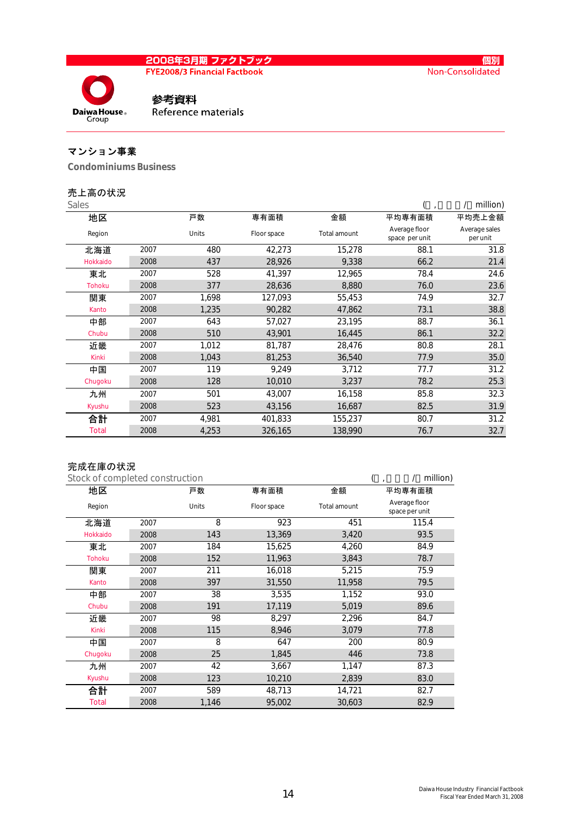<mark>2008年3月期 ファクトブック</mark><br>FYE2008/3 Financial Factbook

Daiwa House<sub>®</sub> Group

### 参考資料 Reference materials

# マンション事業

Condominiums Business

### 売上高の状況

| <b>Sales</b>  |      |       |             |              |                                 | million)                  |
|---------------|------|-------|-------------|--------------|---------------------------------|---------------------------|
| 地区            |      | 戸数    | 専有面積        | 金額           | 平均専有面積                          | 平均売上金額                    |
| Region        |      | Units | Floor space | Total amount | Average floor<br>space per unit | Average sales<br>per unit |
| 北海道           | 2007 | 480   | 42,273      | 15,278       | 88.1                            | 31.8                      |
| Hokkaido      | 2008 | 437   | 28,926      | 9,338        | 66.2                            | 21.4                      |
| 東北            | 2007 | 528   | 41,397      | 12,965       | 78.4                            | 24.6                      |
| <b>Tohoku</b> | 2008 | 377   | 28,636      | 8,880        | 76.0                            | 23.6                      |
| 関東            | 2007 | 1,698 | 127,093     | 55,453       | 74.9                            | 32.7                      |
| Kanto         | 2008 | 1,235 | 90,282      | 47,862       | 73.1                            | 38.8                      |
| 中部            | 2007 | 643   | 57,027      | 23,195       | 88.7                            | 36.1                      |
| Chubu         | 2008 | 510   | 43,901      | 16,445       | 86.1                            | 32.2                      |
| 近畿            | 2007 | 1,012 | 81,787      | 28,476       | 80.8                            | 28.1                      |
| Kinki         | 2008 | 1,043 | 81,253      | 36,540       | 77.9                            | 35.0                      |
| 中国            | 2007 | 119   | 9,249       | 3,712        | 77.7                            | 31.2                      |
| Chugoku       | 2008 | 128   | 10,010      | 3,237        | 78.2                            | 25.3                      |
| 九州            | 2007 | 501   | 43,007      | 16,158       | 85.8                            | 32.3                      |
| Kyushu        | 2008 | 523   | 43,156      | 16,687       | 82.5                            | 31.9                      |
| 合計            | 2007 | 4,981 | 401,833     | 155,237      | 80.7                            | 31.2                      |
| Total         | 2008 | 4,253 | 326,165     | 138,990      | 76.7                            | 32.7                      |

### 完成在庫の状況

| Stock of completed construction | million) |       |             |              |                                 |
|---------------------------------|----------|-------|-------------|--------------|---------------------------------|
| 地区                              |          |       | 専有面積        | 金額           | 平均専有面積                          |
| Region                          |          | Units | Floor space | Total amount | Average floor<br>space per unit |
| 北海道                             | 2007     | 8     | 923         | 451          | 115.4                           |
| Hokkaido                        | 2008     | 143   | 13,369      | 3,420        | 93.5                            |
| 東北                              | 2007     | 184   | 15,625      | 4,260        | 84.9                            |
| <b>Tohoku</b>                   | 2008     | 152   | 11,963      | 3,843        | 78.7                            |
| 関東                              | 2007     | 211   | 16,018      | 5,215        | 75.9                            |
| Kanto                           | 2008     | 397   | 31,550      | 11,958       | 79.5                            |
| 中部                              | 2007     | 38    | 3,535       | 1,152        | 93.0                            |
| Chubu                           | 2008     | 191   | 17,119      | 5,019        | 89.6                            |
| 近畿                              | 2007     | 98    | 8,297       | 2,296        | 84.7                            |
| <b>Kinki</b>                    | 2008     | 115   | 8,946       | 3,079        | 77.8                            |
| 中国                              | 2007     | 8     | 647         | 200          | 80.9                            |
| Chugoku                         | 2008     | 25    | 1,845       | 446          | 73.8                            |
| 九州                              | 2007     | 42    | 3,667       | 1,147        | 87.3                            |
| Kyushu                          | 2008     | 123   | 10,210      | 2,839        | 83.0                            |
| 合計                              | 2007     | 589   | 48,713      | 14,721       | 82.7                            |
| <b>Total</b>                    | 2008     | 1,146 | 95,002      | 30,603       | 82.9                            |

個別

Non-Consolidated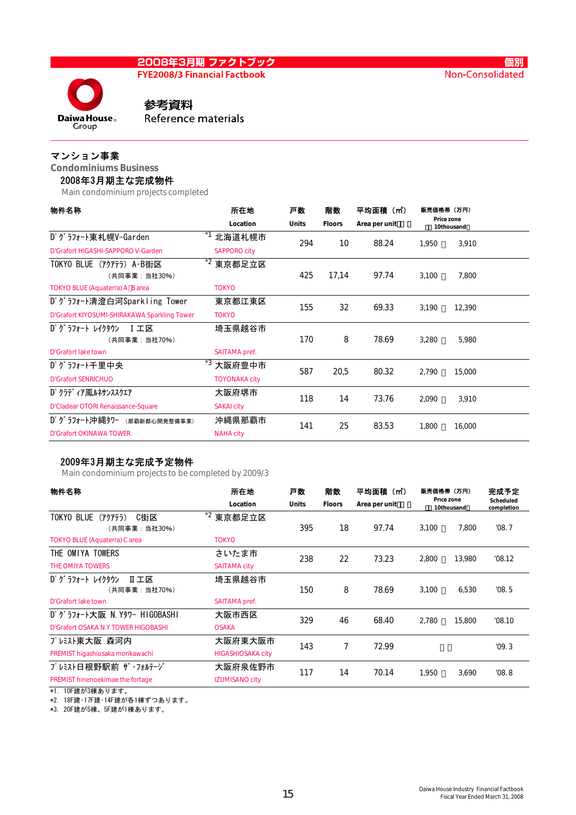Daiwa House<sub>®</sub>

**FYE2008/3 Financial Factbook** 

# 参考資料

Reference materials

### マンション事業

Group

Condominiums Business

### 2008年3月期主な完成物件

Main condominium projects completed

| 物件名称                                         | 所在地                  | 戸数           | 階数            | 平均面積(mì)      | 販売価格帯(万円) |                          |  |
|----------------------------------------------|----------------------|--------------|---------------|---------------|-----------|--------------------------|--|
|                                              | Location             | <b>Units</b> | <b>Floors</b> | Area per unit |           | Price zone<br>10thousand |  |
| D' グラフォート東札幌V-Garden                         | 北海道札幌市               | 294          | 10            | 88.24         | 1,950     | 3,910                    |  |
| D'Grafort HIGASHI-SAPPORO V-Garden           | <b>SAPPORO city</b>  |              |               |               |           |                          |  |
| TOKYO BLUE (アクアテラ) A・B街区                     | *2<br>東京都足立区         |              |               |               |           |                          |  |
| (共同事業:当社30%)                                 |                      | 425          | 17,14         | 97.74         | 3,100     | 7,800                    |  |
| TOKYO BLUE (Aquaterra) A B area              | <b>TOKYO</b>         |              |               |               |           |                          |  |
| D'グラフォート清澄白河Sparkling Tower                  | 東京都江東区               | 155          | 32            | 69.33         | 3,190     | 12,390                   |  |
| D'Grafort KIYOSUMI-SHIRAKAWA Sparkling Tower | <b>TOKYO</b>         |              |               |               |           |                          |  |
| D' グラフォート レイクタウン<br>Ⅰ 工区                     | 埼玉県越谷市               |              |               |               |           |                          |  |
| (共同事業:当社70%)                                 |                      | 170          | 8             | 78.69         | 3,280     | 5,980                    |  |
| D'Grafort lake town                          | SAITAMA pref.        |              |               |               |           |                          |  |
| D' グラフォート千里中央                                | *3<br>大阪府豊中市         | 587          | 20,5          | 80.32         | 2,790     | 15,000                   |  |
| <b>D'Grafort SENRICHUO</b>                   | <b>TOYONAKA city</b> |              |               |               |           |                          |  |
| D' クラディア鳳ルネサンススクエア                           | 大阪府堺市                | 118          | 14            | 73.76         | 2,090     | 3,910                    |  |
| D'Cladear OTORI Renaissance-Square           | <b>SAKAI city</b>    |              |               |               |           |                          |  |
| D' グラフォート沖縄タワー<br>(那覇新都心開発整備事業)              | 沖縄県那覇市               | 141          | 25            | 83.53         | 1.800     | 16,000                   |  |
| <b>D'Grafort OKINAWA TOWER</b>               | <b>NAHA city</b>     |              |               |               |           |                          |  |

### 2009年3月期主な完成予定物件

Main condominium projects to be completed by 2009/3

| 物件名称                                                | 戸数<br>所在地                |              | 階数 | 平均面積(m <sup>*</sup> )          | 販売価格帯 (万円) |                          | 完成予定<br>Scheduled<br>completion |  |
|-----------------------------------------------------|--------------------------|--------------|----|--------------------------------|------------|--------------------------|---------------------------------|--|
|                                                     | Location                 | <b>Units</b> |    | <b>Floors</b><br>Area per unit |            | Price zone<br>10thousand |                                 |  |
| <b>TOKYO BLUE</b><br>(アクアテラ)<br>C街区<br>(共同事業:当社30%) | $*2$<br>東京都足立区           | 395          | 18 | 97.74                          | 3,100      | 7,800                    | '08.7                           |  |
| <b>TOKYO BLUE (Aquaterra) C area</b>                | <b>TOKYO</b>             |              |    |                                |            |                          |                                 |  |
| THE OMIYA TOWERS                                    | さいたま市                    | 238          | 22 | 73.23                          | 2,800      | 13,980                   | '08.12                          |  |
| <b>THE OMIYA TOWERS</b>                             | <b>SAITAMA city</b>      |              |    |                                |            |                          |                                 |  |
| D' グラフォート レイクタウン<br>Ⅱ工区                             | 埼玉県越谷市                   |              |    |                                |            |                          |                                 |  |
| (共同事業:当社70%)                                        |                          | 150          | 8  | 78.69                          | 3,100      | 6,530                    | '08.5                           |  |
| D'Grafort lake town                                 | SAITAMA pref.            |              |    |                                |            |                          |                                 |  |
| D' グラフォート大阪 N. Yタワー HIGOBASHI                       | 大阪市西区                    | 329          | 46 | 68.40                          | 2,780      | 15,800                   | '08.10                          |  |
| D'Grafort OSAKA N.Y TOWER HIGOBASHI                 | <b>OSAKA</b>             |              |    |                                |            |                          |                                 |  |
| プレミスト東大阪 森河内                                        | 大阪府東大阪市                  | 143          | 7  | 72.99                          |            |                          | '09.3                           |  |
| PREMIST higashiosaka morikawachi                    | <b>HIGASHIOSAKA city</b> |              |    |                                |            |                          |                                 |  |
| プレミスト日根野駅前 ザ・フォルテージ                                 | 大阪府泉佐野市                  | 117          | 14 | 70.14                          | 1.950      | 3,690                    | '08.8                           |  |
| PREMIST hinenoekimae the fortage                    | <b>IZUMISANO city</b>    |              |    |                                |            |                          |                                 |  |

\*1. 10F建が3棟あります。

\*2. 18F建・17F建・14F建が各1棟ずつあります。

\*3. 20F建が5棟、5F建が1棟あります。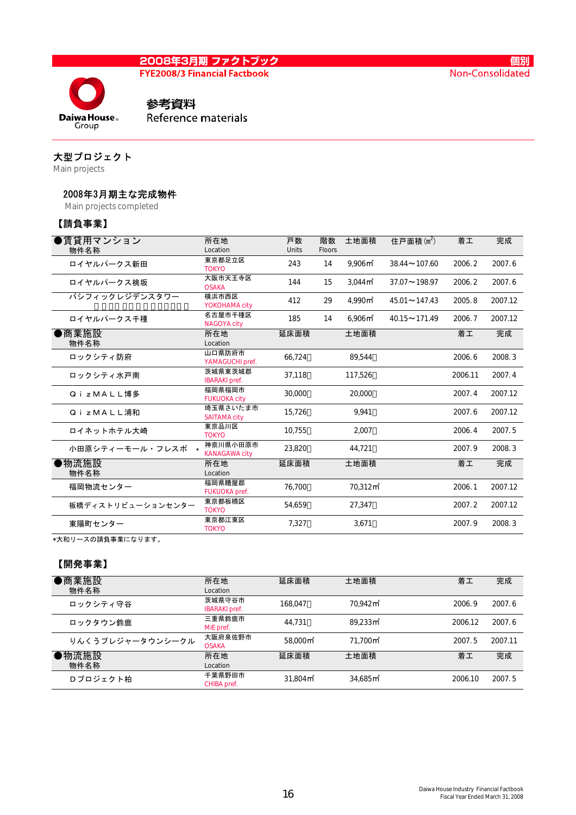**FYE2008/3 Financial Factbook** 



Reference materials

# 大型プロジェクト

**Daiwa House**<sub>®</sub>

Main projects

### 2008年3月期主な完成物件

Main projects completed

# 【請負事業】

| 所在地                              | 戸数       | 階数    | 土地面積                            | 住戸面積 $(m2)$                | 着工      | 完成      |
|----------------------------------|----------|-------|---------------------------------|----------------------------|---------|---------|
| 東京都足立区<br><b>TOKYO</b>           | 243      | 14    | 9.906 <sup> m<sup>2</sup></sup> | $38.44 \sim 107.60$        | 2006.2  | 2007.6  |
| 大阪市天王寺区<br><b>OSAKA</b>          | 144      | 15    | 3.044 <sup> m<sup>2</sup></sup> | $37.07 \sim 198.97$        | 2006.2  | 2007.6  |
| 横浜市西区<br>YOKOHAMA city           | 412      | 29    | 4.990 <sup>th</sup>             | $45.01 \rightarrow 147.43$ | 2005.8  | 2007.12 |
| 名古屋市千種区<br><b>NAGOYA city</b>    | 185      | 14    | 6,906 <sup> m²</sup>            | $40.15 \sim 171.49$        | 2006.7  | 2007.12 |
| 所在地<br>Location                  | 延床面積     |       | 土地面積                            |                            | 着工      | 完成      |
| 山口県防府市<br>YAMAGUCHI pref.        | 66.724   |       | 89.544                          |                            | 2006.6  | 2008.3  |
| 茨城県東茨城郡<br><b>IBARAKI</b> pref.  | 37,118   |       | 117.526                         |                            | 2006.11 | 2007.4  |
| 福岡県福岡市<br><b>FUKUOKA city</b>    | 30.000   |       | 20,000                          |                            | 2007.4  | 2007.12 |
| 埼玉県さいたま市<br><b>SAITAMA city</b>  | 15,726   |       | 9.941                           |                            | 2007.6  | 2007.12 |
| 東京品川区<br><b>TOKYO</b>            | 10.755   |       | 2.007                           |                            | 2006.4  | 2007.5  |
| 神奈川県小田原市<br><b>KANAGAWA city</b> | 23,820   |       | 44.721                          |                            | 2007.9  | 2008.3  |
| 所在地<br>Location                  | 延床面積     |       | 土地面積                            |                            | 着工      | 完成      |
| 福岡県糟屋郡<br>FUKUOKA pref.          | 76.700   |       | 70.312 <sub>m</sub>             |                            | 2006.1  | 2007.12 |
| 東京都板橋区<br><b>TOKYO</b>           | 54,659   |       | 27,347                          |                            | 2007.2  | 2007.12 |
| 東京都江東区<br><b>TOKYO</b>           | 7,327    |       | 3,671                           |                            | 2007.9  | 2008.3  |
| 小田原シティーモール・フレスポ *                | Location | Units | <b>Floors</b>                   |                            |         |         |

\*大和リースの請負事業になります。

### 【開発事業】

| ●商業施設<br>物件名称    | 所在地<br>Location                | 延床面積                    | 土地面積                    | 着工      | 完成      |
|------------------|--------------------------------|-------------------------|-------------------------|---------|---------|
| ロックシティ守谷         | 茨城県守谷市<br><b>IBARAKI</b> pref. | 168.047                 | 70.942 <sub>m</sub>     | 2006.9  | 2007.6  |
| ロックタウン鈴鹿         | 三重県鈴鹿市<br>MIE pref.            | 44.731                  | $89.233 \text{ m}^2$    | 2006.12 | 2007.6  |
| りんくうプレジャータウンシークル | 大阪府泉佐野市<br><b>OSAKA</b>        | 58.000 <sub>m</sub>     | 71.700 m <sup>2</sup>   | 2007.5  | 2007.11 |
| ●物流施設<br>物件名称    | 所在地<br>Location                | 延床面積                    | 土地面積                    | 着工      | 完成      |
| Dプロジェクト柏         | 千葉県野田市<br>CHIBA pref.          | $31.804 \,\mathrm{m}^2$ | $34.685 \,\mathrm{m}^2$ | 2006.10 | 2007.5  |